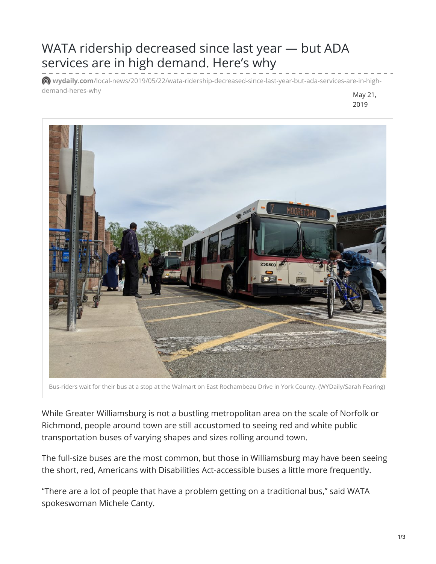## WATA ridership decreased since last year — but ADA services are in high demand. Here's why

**wydaily.com**[/local-news/2019/05/22/wata-ridership-decreased-since-last-year-but-ada-services-are-in-high](https://wydaily.com/local-news/2019/05/22/wata-ridership-decreased-since-last-year-but-ada-services-are-in-high-demand-heres-why/)demand-heres-why and the settlement of the settlement of the settlement of the May 21,



Bus-riders wait for their bus at a stop at the Walmart on East Rochambeau Drive in York County. (WYDaily/Sarah Fearing)

 While Greater Williamsburg is not a bustling metropolitan area on the scale of Norfolk or Richmond, people around town are still accustomed to seeing red and white public transportation buses of varying shapes and sizes rolling around town.

 The full-size buses are the most common, but those in Williamsburg may have been seeing the short, red, Americans with Disabilities Act-accessible buses a little more frequently.

 "There are a lot of people that have a problem getting on a traditional bus," said WATA spokeswoman Michele Canty.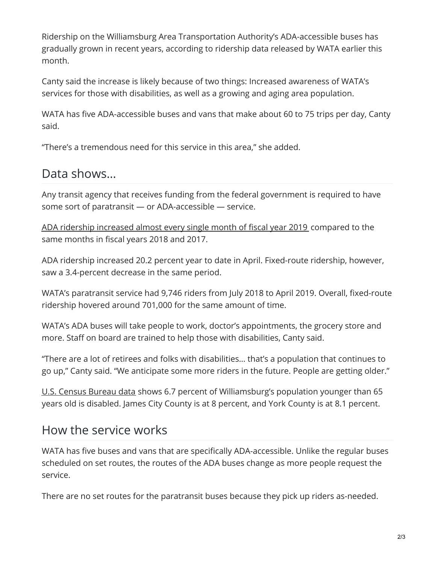Ridership on the Williamsburg Area Transportation Authority's ADA-accessible buses has gradually grown in recent years, according to ridership data released by WATA earlier this month.

 Canty said the increase is likely because of two things: Increased awareness of WATA's services for those with disabilities, as well as a growing and aging area population.

 WATA has five ADA-accessible buses and vans that make about 60 to 75 trips per day, Canty said.

"There's a tremendous need for this service in this area," she added.

## Data shows…

 Any transit agency that receives funding from the federal government is required to have some sort of paratransit — or ADA-accessible — service.

 ADA ridership [increased](http://www.gowata.org/AgendaCenter/ViewFile/Item/1025?fileID=1662) almost every single month of fiscal year 2019 compared to the same months in fiscal years 2018 and 2017.

 ADA ridership increased 20.2 percent year to date in April. Fixed-route ridership, however, saw a 3.4-percent decrease in the same period.

 WATA's paratransit service had 9,746 riders from July 2018 to April 2019. Overall, fixed-route ridership hovered around 701,000 for the same amount of time.

 WATA's ADA buses will take people to work, doctor's appointments, the grocery store and more. Staff on board are trained to help those with disabilities, Canty said.

 "There are a lot of retirees and folks with disabilities… that's a population that continues to go up," Canty said. "We anticipate some more riders in the future. People are getting older."

<u>U.S. Census [Bureau](https://www.census.gov/quickfacts/fact/table/yorkcountyvirginia,jamescitycountyvirginia,williamsburgcityvirginiacounty/PST040218) data</u> shows 6.7 percent of Williamsburg's population younger than 65 years old is disabled. James City County is at 8 percent, and York County is at 8.1 percent.

## How the service works

 WATA has five buses and vans that are specifically ADA-accessible. Unlike the regular buses scheduled on set routes, the routes of the ADA buses change as more people request the service.

There are no set routes for the paratransit buses because they pick up riders as-needed.